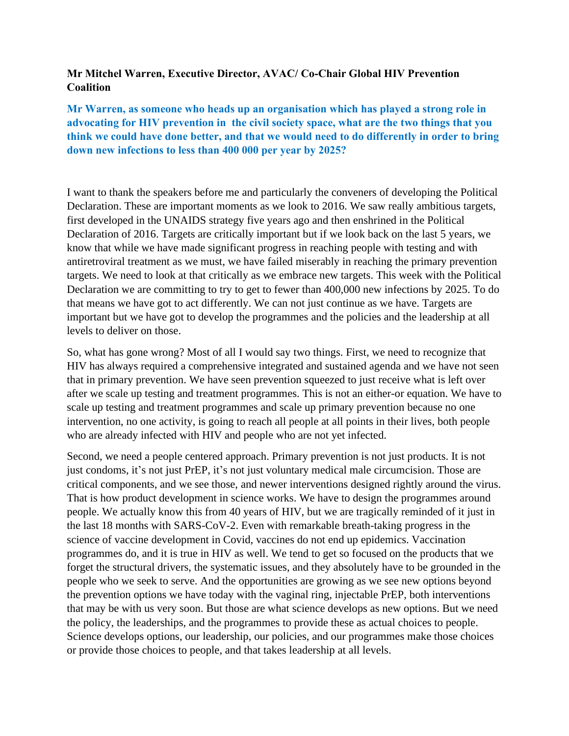## **Mr Mitchel Warren, Executive Director, AVAC/ Co-Chair Global HIV Prevention Coalition**

**Mr Warren, as someone who heads up an organisation which has played a strong role in advocating for HIV prevention in the civil society space, what are the two things that you think we could have done better, and that we would need to do differently in order to bring down new infections to less than 400 000 per year by 2025?** 

I want to thank the speakers before me and particularly the conveners of developing the Political Declaration. These are important moments as we look to 2016. We saw really ambitious targets, first developed in the UNAIDS strategy five years ago and then enshrined in the Political Declaration of 2016. Targets are critically important but if we look back on the last 5 years, we know that while we have made significant progress in reaching people with testing and with antiretroviral treatment as we must, we have failed miserably in reaching the primary prevention targets. We need to look at that critically as we embrace new targets. This week with the Political Declaration we are committing to try to get to fewer than 400,000 new infections by 2025. To do that means we have got to act differently. We can not just continue as we have. Targets are important but we have got to develop the programmes and the policies and the leadership at all levels to deliver on those.

So, what has gone wrong? Most of all I would say two things. First, we need to recognize that HIV has always required a comprehensive integrated and sustained agenda and we have not seen that in primary prevention. We have seen prevention squeezed to just receive what is left over after we scale up testing and treatment programmes. This is not an either-or equation. We have to scale up testing and treatment programmes and scale up primary prevention because no one intervention, no one activity, is going to reach all people at all points in their lives, both people who are already infected with HIV and people who are not yet infected.

Second, we need a people centered approach. Primary prevention is not just products. It is not just condoms, it's not just PrEP, it's not just voluntary medical male circumcision. Those are critical components, and we see those, and newer interventions designed rightly around the virus. That is how product development in science works. We have to design the programmes around people. We actually know this from 40 years of HIV, but we are tragically reminded of it just in the last 18 months with SARS-CoV-2. Even with remarkable breath-taking progress in the science of vaccine development in Covid, vaccines do not end up epidemics. Vaccination programmes do, and it is true in HIV as well. We tend to get so focused on the products that we forget the structural drivers, the systematic issues, and they absolutely have to be grounded in the people who we seek to serve. And the opportunities are growing as we see new options beyond the prevention options we have today with the vaginal ring, injectable PrEP, both interventions that may be with us very soon. But those are what science develops as new options. But we need the policy, the leaderships, and the programmes to provide these as actual choices to people. Science develops options, our leadership, our policies, and our programmes make those choices or provide those choices to people, and that takes leadership at all levels.